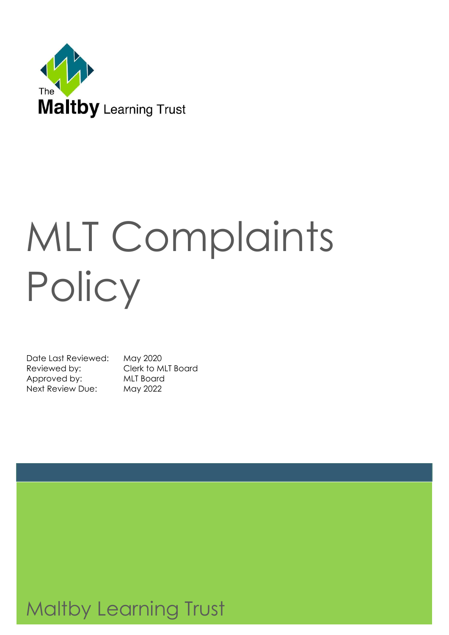

# MLT Complaints **Policy**

Date Last Reviewed: May 2020 Reviewed by: Clerk to MLT Board Approved by: MLT Board Next Review Due: May 2022

# Maltby Learning Trust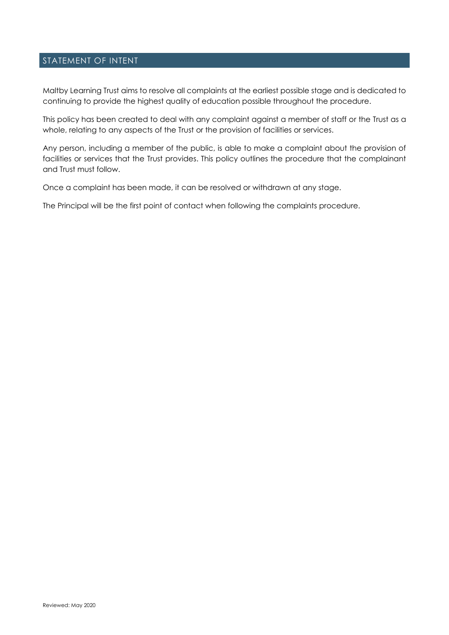#### STATEMENT OF INTENT

Maltby Learning Trust aims to resolve all complaints at the earliest possible stage and is dedicated to continuing to provide the highest quality of education possible throughout the procedure.

This policy has been created to deal with any complaint against a member of staff or the Trust as a whole, relating to any aspects of the Trust or the provision of facilities or services.

Any person, including a member of the public, is able to make a complaint about the provision of facilities or services that the Trust provides. This policy outlines the procedure that the complainant and Trust must follow.

Once a complaint has been made, it can be resolved or withdrawn at any stage.

The Principal will be the first point of contact when following the complaints procedure.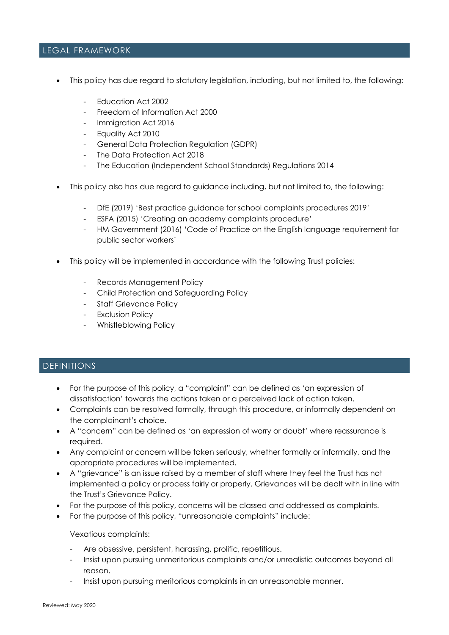#### LEGAL FRAMEWORK

- This policy has due regard to statutory legislation, including, but not limited to, the following:
	- Education Act 2002
	- Freedom of Information Act 2000
	- Immigration Act 2016
	- Equality Act 2010
	- General Data Protection Regulation (GDPR)
	- The Data Protection Act 2018
	- The Education (Independent School Standards) Regulations 2014
- This policy also has due regard to guidance including, but not limited to, the following:
	- DfE (2019) 'Best practice guidance for school complaints procedures 2019'
	- ESFA (2015) 'Creating an academy complaints procedure'
	- HM Government (2016) 'Code of Practice on the English language requirement for public sector workers'
- This policy will be implemented in accordance with the following Trust policies:
	- Records Management Policy
	- Child Protection and Safeguarding Policy
	- Staff Grievance Policy
	- Exclusion Policy
	- Whistleblowing Policy

# DEFINITIONS

- For the purpose of this policy, a "complaint" can be defined as 'an expression of dissatisfaction' towards the actions taken or a perceived lack of action taken.
- Complaints can be resolved formally, through this procedure, or informally dependent on the complainant's choice.
- A "concern" can be defined as 'an expression of worry or doubt' where reassurance is required.
- Any complaint or concern will be taken seriously, whether formally or informally, and the appropriate procedures will be implemented.
- A "grievance" is an issue raised by a member of staff where they feel the Trust has not implemented a policy or process fairly or properly. Grievances will be dealt with in line with the Trust's Grievance Policy.
- For the purpose of this policy, concerns will be classed and addressed as complaints.
- For the purpose of this policy, "unreasonable complaints" include:

#### Vexatious complaints:

- Are obsessive, persistent, harassing, prolific, repetitious.
- Insist upon pursuing unmeritorious complaints and/or unrealistic outcomes beyond all reason.
- Insist upon pursuing meritorious complaints in an unreasonable manner.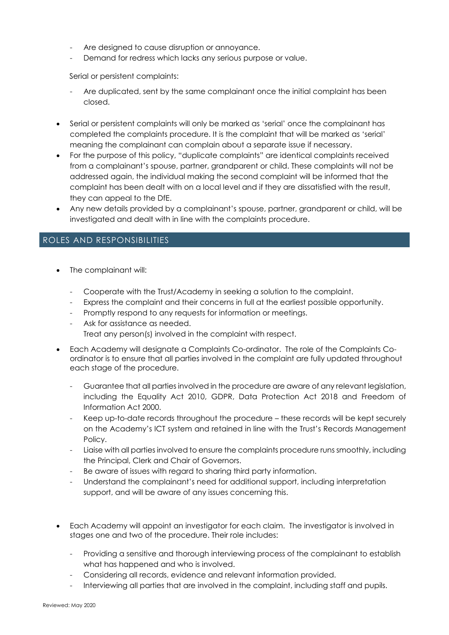- Are designed to cause disruption or annoyance.
- Demand for redress which lacks any serious purpose or value.

Serial or persistent complaints:

- Are duplicated, sent by the same complainant once the initial complaint has been closed.
- Serial or persistent complaints will only be marked as 'serial' once the complainant has completed the complaints procedure. It is the complaint that will be marked as 'serial' meaning the complainant can complain about a separate issue if necessary.
- For the purpose of this policy, "duplicate complaints" are identical complaints received from a complainant's spouse, partner, grandparent or child. These complaints will not be addressed again, the individual making the second complaint will be informed that the complaint has been dealt with on a local level and if they are dissatisfied with the result, they can appeal to the DfE.
- Any new details provided by a complainant's spouse, partner, grandparent or child, will be investigated and dealt with in line with the complaints procedure.

# ROLES AND RESPONSIBILITIES

- The complainant will:
	- Cooperate with the Trust/Academy in seeking a solution to the complaint.
	- Express the complaint and their concerns in full at the earliest possible opportunity.
	- Promptly respond to any requests for information or meetings.
	- Ask for assistance as needed.

Treat any person(s) involved in the complaint with respect.

- Each Academy will designate a Complaints Co-ordinator. The role of the Complaints Coordinator is to ensure that all parties involved in the complaint are fully updated throughout each stage of the procedure.
	- Guarantee that all parties involved in the procedure are aware of any relevant legislation, including the Equality Act 2010, GDPR, Data Protection Act 2018 and Freedom of Information Act 2000.
	- Keep up-to-date records throughout the procedure these records will be kept securely on the Academy's ICT system and retained in line with the Trust's Records Management Policy.
	- Liaise with all parties involved to ensure the complaints procedure runs smoothly, including the Principal, Clerk and Chair of Governors.
	- Be aware of issues with regard to sharing third party information.
	- Understand the complainant's need for additional support, including interpretation support, and will be aware of any issues concerning this.
- Each Academy will appoint an investigator for each claim. The investigator is involved in stages one and two of the procedure. Their role includes:
	- Providing a sensitive and thorough interviewing process of the complainant to establish what has happened and who is involved.
	- Considering all records, evidence and relevant information provided.
	- Interviewing all parties that are involved in the complaint, including staff and pupils.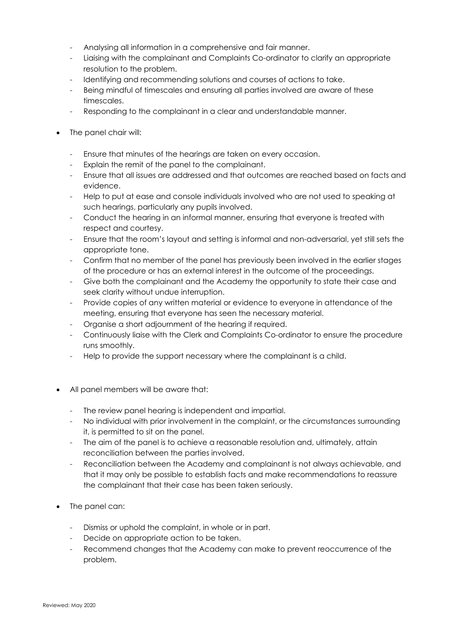- Analysing all information in a comprehensive and fair manner.
- Liaising with the complainant and Complaints Co-ordinator to clarify an appropriate resolution to the problem.
- Identifying and recommending solutions and courses of actions to take.
- Being mindful of timescales and ensuring all parties involved are aware of these timescales.
- Responding to the complainant in a clear and understandable manner.
- The panel chair will:
	- Ensure that minutes of the hearings are taken on every occasion.
	- Explain the remit of the panel to the complainant.
	- Ensure that all issues are addressed and that outcomes are reached based on facts and evidence.
	- Help to put at ease and console individuals involved who are not used to speaking at such hearings, particularly any pupils involved.
	- Conduct the hearing in an informal manner, ensuring that everyone is treated with respect and courtesy.
	- Ensure that the room's layout and setting is informal and non-adversarial, yet still sets the appropriate tone.
	- Confirm that no member of the panel has previously been involved in the earlier stages of the procedure or has an external interest in the outcome of the proceedings.
	- Give both the complainant and the Academy the opportunity to state their case and seek clarity without undue interruption.
	- Provide copies of any written material or evidence to everyone in attendance of the meeting, ensuring that everyone has seen the necessary material.
	- Organise a short adjournment of the hearing if required.
	- Continuously liaise with the Clerk and Complaints Co-ordinator to ensure the procedure runs smoothly.
	- Help to provide the support necessary where the complainant is a child.
- All panel members will be aware that:
	- The review panel hearing is independent and impartial.
	- No individual with prior involvement in the complaint, or the circumstances surrounding it, is permitted to sit on the panel.
	- The aim of the panel is to achieve a reasonable resolution and, ultimately, attain reconciliation between the parties involved.
	- Reconciliation between the Academy and complainant is not always achievable, and that it may only be possible to establish facts and make recommendations to reassure the complainant that their case has been taken seriously.
- The panel can:
	- Dismiss or uphold the complaint, in whole or in part.
	- Decide on appropriate action to be taken.
	- Recommend changes that the Academy can make to prevent reoccurrence of the problem.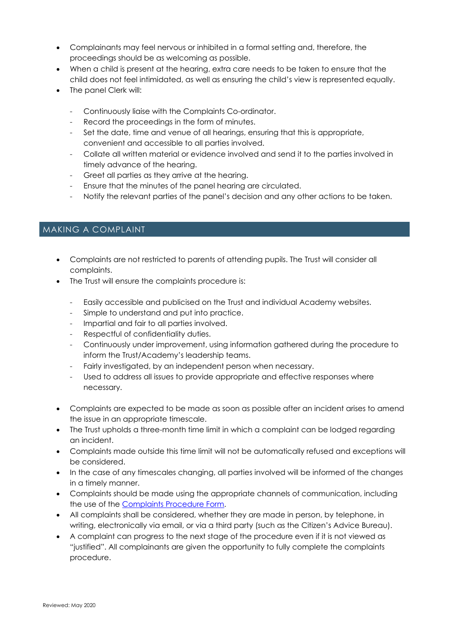- Complainants may feel nervous or inhibited in a formal setting and, therefore, the proceedings should be as welcoming as possible.
- When a child is present at the hearing, extra care needs to be taken to ensure that the child does not feel intimidated, as well as ensuring the child's view is represented equally.
- The panel Clerk will:
	- Continuously liaise with the Complaints Co-ordinator.
	- Record the proceedings in the form of minutes.
	- Set the date, time and venue of all hearings, ensuring that this is appropriate, convenient and accessible to all parties involved.
	- Collate all written material or evidence involved and send it to the parties involved in timely advance of the hearing.
	- Greet all parties as they arrive at the hearing.
	- Ensure that the minutes of the panel hearing are circulated.
	- Notify the relevant parties of the panel's decision and any other actions to be taken.

#### MAKING A COMPLAINT

- Complaints are not restricted to parents of attending pupils. The Trust will consider all complaints.
- The Trust will ensure the complaints procedure is:
	- Easily accessible and publicised on the Trust and individual Academy websites.
	- Simple to understand and put into practice.
	- Impartial and fair to all parties involved.
	- Respectful of confidentiality duties.
	- Continuously under improvement, using information gathered during the procedure to inform the Trust/Academy's leadership teams.
	- Fairly investigated, by an independent person when necessary.
	- Used to address all issues to provide appropriate and effective responses where necessary.
- Complaints are expected to be made as soon as possible after an incident arises to amend the issue in an appropriate timescale.
- The Trust upholds a three-month time limit in which a complaint can be lodged regarding an incident.
- Complaints made outside this time limit will not be automatically refused and exceptions will be considered.
- In the case of any timescales changing, all parties involved will be informed of the changes in a timely manner.
- Complaints should be made using the appropriate channels of communication, including the use of the [Complaints Procedure Form.](#page-16-0)
- All complaints shall be considered, whether they are made in person, by telephone, in writing, electronically via email, or via a third party (such as the Citizen's Advice Bureau).
- A complaint can progress to the next stage of the procedure even if it is not viewed as "justified". All complainants are given the opportunity to fully complete the complaints procedure.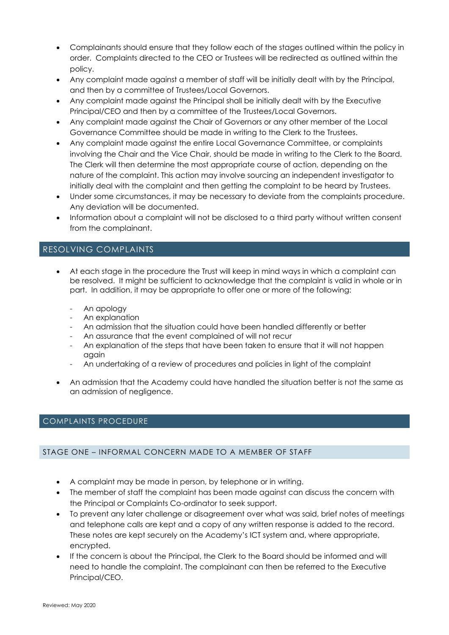- Complainants should ensure that they follow each of the stages outlined within the policy in order. Complaints directed to the CEO or Trustees will be redirected as outlined within the policy.
- Any complaint made against a member of staff will be initially dealt with by the Principal, and then by a committee of Trustees/Local Governors.
- Any complaint made against the Principal shall be initially dealt with by the Executive Principal/CEO and then by a committee of the Trustees/Local Governors.
- Any complaint made against the Chair of Governors or any other member of the Local Governance Committee should be made in writing to the Clerk to the Trustees.
- Any complaint made against the entire Local Governance Committee, or complaints involving the Chair and the Vice Chair, should be made in writing to the Clerk to the Board. The Clerk will then determine the most appropriate course of action, depending on the nature of the complaint. This action may involve sourcing an independent investigator to initially deal with the complaint and then getting the complaint to be heard by Trustees.
- Under some circumstances, it may be necessary to deviate from the complaints procedure. Any deviation will be documented.
- Information about a complaint will not be disclosed to a third party without written consent from the complainant.

# RESOLVING COMPLAINTS

- At each stage in the procedure the Trust will keep in mind ways in which a complaint can be resolved. It might be sufficient to acknowledge that the complaint is valid in whole or in part. In addition, it may be appropriate to offer one or more of the following:
	- An apology
	- An explanation
	- An admission that the situation could have been handled differently or better
	- An assurance that the event complained of will not recur
	- An explanation of the steps that have been taken to ensure that it will not happen again
	- An undertaking of a review of procedures and policies in light of the complaint
- An admission that the Academy could have handled the situation better is not the same as an admission of negligence.

#### <span id="page-6-0"></span>COMPLAINTS PROCEDURE

#### STAGE ONE – INFORMAL CONCERN MADE TO A MEMBER OF STAFF

- A complaint may be made in person, by telephone or in writing.
- The member of staff the complaint has been made against can discuss the concern with the Principal or Complaints Co-ordinator to seek support.
- To prevent any later challenge or disagreement over what was said, brief notes of meetings and telephone calls are kept and a copy of any written response is added to the record. These notes are kept securely on the Academy's ICT system and, where appropriate, encrypted.
- If the concern is about the Principal, the Clerk to the Board should be informed and will need to handle the complaint. The complainant can then be referred to the Executive Principal/CEO.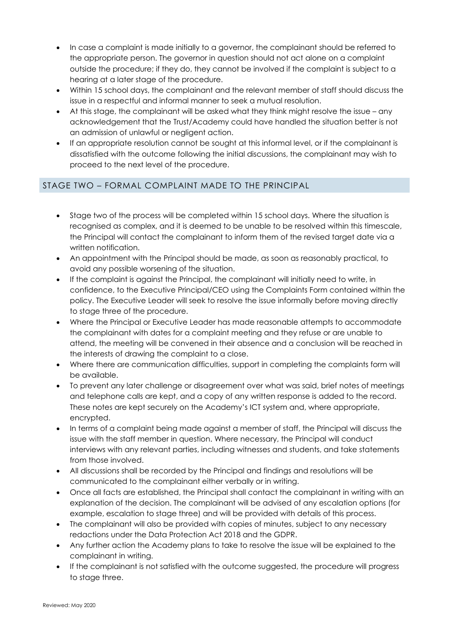- In case a complaint is made initially to a governor, the complainant should be referred to the appropriate person. The governor in question should not act alone on a complaint outside the procedure; if they do, they cannot be involved if the complaint is subject to a hearing at a later stage of the procedure.
- Within 15 school days, the complainant and the relevant member of staff should discuss the issue in a respectful and informal manner to seek a mutual resolution.
- At this stage, the complainant will be asked what they think might resolve the issue any acknowledgement that the Trust/Academy could have handled the situation better is not an admission of unlawful or negligent action.
- If an appropriate resolution cannot be sought at this informal level, or if the complainant is dissatisfied with the outcome following the initial discussions, the complainant may wish to proceed to the next level of the procedure.

# STAGE TWO – FORMAL COMPLAINT MADE TO THE PRINCIPAL

- Stage two of the process will be completed within 15 school days. Where the situation is recognised as complex, and it is deemed to be unable to be resolved within this timescale, the Principal will contact the complainant to inform them of the revised target date via a written notification.
- An appointment with the Principal should be made, as soon as reasonably practical, to avoid any possible worsening of the situation.
- If the complaint is against the Principal, the complainant will initially need to write, in confidence, to the Executive Principal/CEO using the Complaints Form contained within the policy. The Executive Leader will seek to resolve the issue informally before moving directly to stage three of the procedure.
- Where the Principal or Executive Leader has made reasonable attempts to accommodate the complainant with dates for a complaint meeting and they refuse or are unable to attend, the meeting will be convened in their absence and a conclusion will be reached in the interests of drawing the complaint to a close.
- Where there are communication difficulties, support in completing the complaints form will be available.
- To prevent any later challenge or disagreement over what was said, brief notes of meetings and telephone calls are kept, and a copy of any written response is added to the record. These notes are kept securely on the Academy's ICT system and, where appropriate, encrypted.
- In terms of a complaint being made against a member of staff, the Principal will discuss the issue with the staff member in question. Where necessary, the Principal will conduct interviews with any relevant parties, including witnesses and students, and take statements from those involved.
- All discussions shall be recorded by the Principal and findings and resolutions will be communicated to the complainant either verbally or in writing.
- Once all facts are established, the Principal shall contact the complainant in writing with an explanation of the decision. The complainant will be advised of any escalation options (for example, escalation to stage three) and will be provided with details of this process.
- The complainant will also be provided with copies of minutes, subject to any necessary redactions under the Data Protection Act 2018 and the GDPR.
- Any further action the Academy plans to take to resolve the issue will be explained to the complainant in writing.
- If the complainant is not satisfied with the outcome suggested, the procedure will progress to stage three.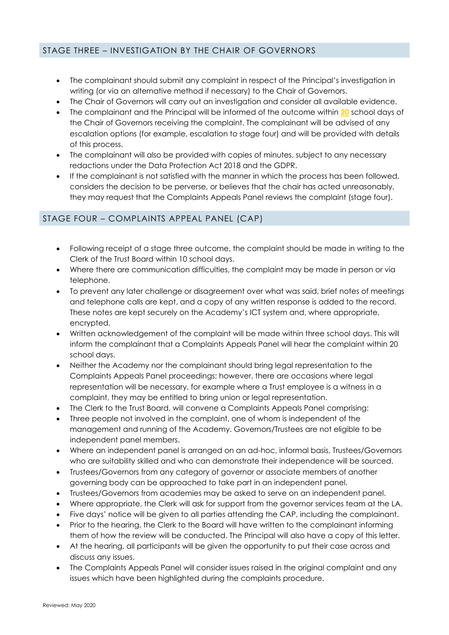#### STAGE THREE – INVESTIGATION BY THE CHAIR OF GOVERNORS

- The complainant should submit any complaint in respect of the Principal's investigation in writing (or via an alternative method if necessary) to the Chair of Governors.
- The Chair of Governors will carry out an investigation and consider all available evidence.
- The complainant and the Principal will be informed of the outcome within **20** school days of the Chair of Governors receiving the complaint. The complainant will be advised of any escalation options (for example, escalation to stage four) and will be provided with details of this process.
- The complainant will also be provided with copies of minutes, subject to any necessary redactions under the Data Protection Act 2018 and the GDPR.
- If the complainant is not satisfied with the manner in which the process has been followed, considers the decision to be perverse, or believes that the chair has acted unreasonably, they may request that the Complaints Appeals Panel reviews the complaint (stage four).

#### STAGE FOUR – COMPLAINTS APPEAL PANEL (CAP)

- Following receipt of a stage three outcome, the complaint should be made in writing to the Clerk of the Trust Board within 10 school days.
- Where there are communication difficulties, the complaint may be made in person or via telephone.
- To prevent any later challenge or disagreement over what was said, brief notes of meetings and telephone calls are kept, and a copy of any written response is added to the record. These notes are kept securely on the Academy's ICT system and, where appropriate, encrypted.
- Written acknowledgement of the complaint will be made within three school days. This will inform the complainant that a Complaints Appeals Panel will hear the complaint within 20 school days.
- Neither the Academy nor the complainant should bring legal representation to the Complaints Appeals Panel proceedings; however, there are occasions where legal representation will be necessary, for example where a Trust employee is a witness in a complaint, they may be entitled to bring union or legal representation.
- The Clerk to the Trust Board, will convene a Complaints Appeals Panel comprising:
- Three people not involved in the complaint, one of whom is independent of the management and running of the Academy. Governors/Trustees are not eligible to be independent panel members.
- Where an independent panel is arranged on an ad-hoc, informal basis, Trustees/Governors who are suitability skilled and who can demonstrate their independence will be sourced.
- Trustees/Governors from any category of governor or associate members of another governing body can be approached to take part in an independent panel.
- Trustees/Governors from academies may be asked to serve on an independent panel.
- Where appropriate, the Clerk will ask for support from the governor services team at the LA.
- Five days' notice will be given to all parties attending the CAP, including the complainant.
- Prior to the hearing, the Clerk to the Board will have written to the complainant informing them of how the review will be conducted. The Principal will also have a copy of this letter.
- At the hearing, all participants will be given the opportunity to put their case across and discuss any issues.
- The Complaints Appeals Panel will consider issues raised in the original complaint and any issues which have been highlighted during the complaints procedure.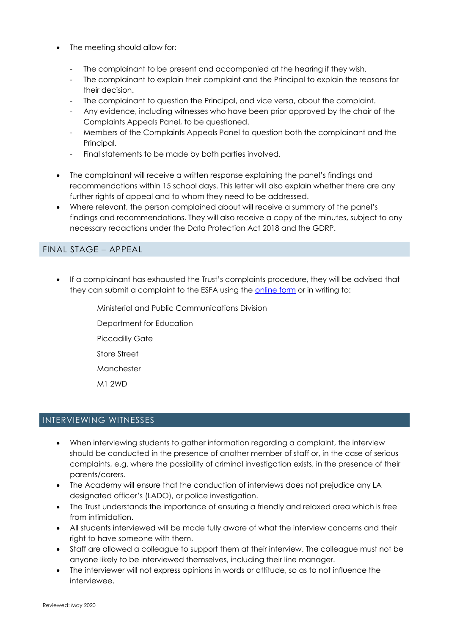- The meeting should allow for:
	- The complainant to be present and accompanied at the hearing if they wish.
	- The complainant to explain their complaint and the Principal to explain the reasons for their decision.
	- The complainant to question the Principal, and vice versa, about the complaint.
	- Any evidence, including witnesses who have been prior approved by the chair of the Complaints Appeals Panel, to be questioned.
	- Members of the Complaints Appeals Panel to question both the complainant and the Principal.
	- Final statements to be made by both parties involved.
- The complainant will receive a written response explaining the panel's findings and recommendations within 15 school days. This letter will also explain whether there are any further rights of appeal and to whom they need to be addressed.
- Where relevant, the person complained about will receive a summary of the panel's findings and recommendations. They will also receive a copy of the minutes, subject to any necessary redactions under the Data Protection Act 2018 and the GDRP.

#### FINAL STAGE – APPEAL

- If a complainant has exhausted the Trust's complaints procedure, they will be advised that they can submit a complaint to the ESFA using the online form or in writing to:
	- Ministerial and Public Communications Division
	- Department for Education
	- Piccadilly Gate
	- Store Street
	- Manchester
	- M1 2WD

# INTERVIEWING WITNESSES

- When interviewing students to gather information regarding a complaint, the interview should be conducted in the presence of another member of staff or, in the case of serious complaints, e.g. where the possibility of criminal investigation exists, in the presence of their parents/carers.
- The Academy will ensure that the conduction of interviews does not prejudice any LA designated officer's (LADO), or police investigation.
- The Trust understands the importance of ensuring a friendly and relaxed area which is free from intimidation.
- All students interviewed will be made fully aware of what the interview concerns and their right to have someone with them.
- Staff are allowed a colleague to support them at their interview. The colleague must not be anyone likely to be interviewed themselves, including their line manager.
- The interviewer will not express opinions in words or attitude, so as to not influence the interviewee.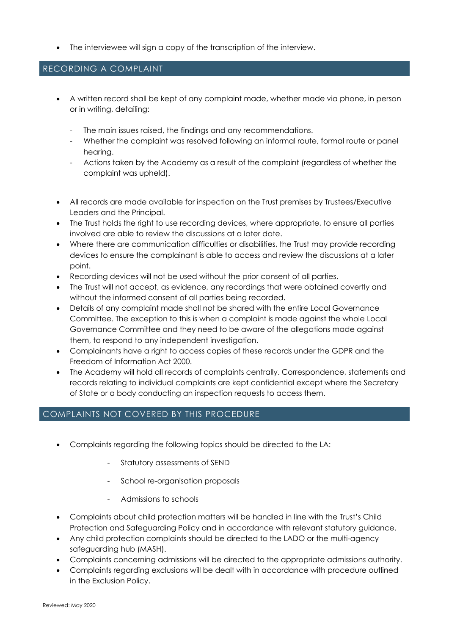The interviewee will sign a copy of the transcription of the interview.

#### RECORDING A COMPLAINT

- A written record shall be kept of any complaint made, whether made via phone, in person or in writing, detailing:
	- The main issues raised, the findings and any recommendations.
	- Whether the complaint was resolved following an informal route, formal route or panel hearing.
	- Actions taken by the Academy as a result of the complaint (regardless of whether the complaint was upheld).
- All records are made available for inspection on the Trust premises by Trustees/Executive Leaders and the Principal.
- The Trust holds the right to use recording devices, where appropriate, to ensure all parties involved are able to review the discussions at a later date.
- Where there are communication difficulties or disabilities, the Trust may provide recording devices to ensure the complainant is able to access and review the discussions at a later point.
- Recording devices will not be used without the prior consent of all parties.
- The Trust will not accept, as evidence, any recordings that were obtained covertly and without the informed consent of all parties being recorded.
- Details of any complaint made shall not be shared with the entire Local Governance Committee. The exception to this is when a complaint is made against the whole Local Governance Committee and they need to be aware of the allegations made against them, to respond to any independent investigation.
- Complainants have a right to access copies of these records under the GDPR and the Freedom of Information Act 2000.
- The Academy will hold all records of complaints centrally. Correspondence, statements and records relating to individual complaints are kept confidential except where the Secretary of State or a body conducting an inspection requests to access them.

# COMPLAINTS NOT COVERED BY THIS PROCEDURE

- Complaints regarding the following topics should be directed to the LA:
	- Statutory assessments of SEND
	- School re-organisation proposals
	- Admissions to schools
- Complaints about child protection matters will be handled in line with the Trust's Child Protection and Safeguarding Policy and in accordance with relevant statutory guidance.
- Any child protection complaints should be directed to the LADO or the multi-agency safeguarding hub (MASH).
- Complaints concerning admissions will be directed to the appropriate admissions authority.
- Complaints regarding exclusions will be dealt with in accordance with procedure outlined in the Exclusion Policy.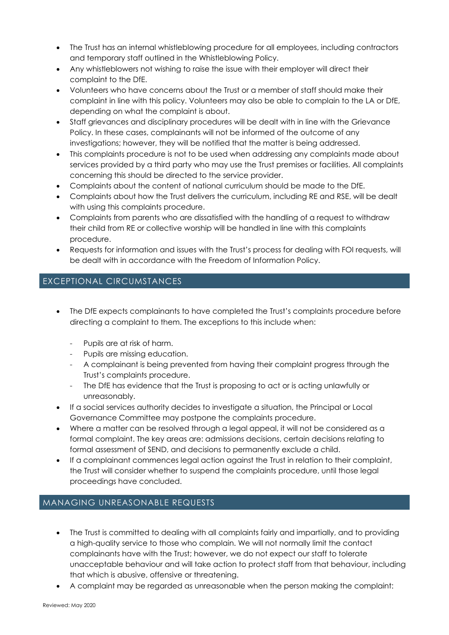- The Trust has an internal whistleblowing procedure for all employees, including contractors and temporary staff outlined in the Whistleblowing Policy.
- Any whistleblowers not wishing to raise the issue with their employer will direct their complaint to the DfE.
- Volunteers who have concerns about the Trust or a member of staff should make their complaint in line with this policy. Volunteers may also be able to complain to the LA or DfE, depending on what the complaint is about.
- Staff grievances and disciplinary procedures will be dealt with in line with the Grievance Policy. In these cases, complainants will not be informed of the outcome of any investigations; however, they will be notified that the matter is being addressed.
- This complaints procedure is not to be used when addressing any complaints made about services provided by a third party who may use the Trust premises or facilities. All complaints concerning this should be directed to the service provider.
- Complaints about the content of national curriculum should be made to the DfE.
- Complaints about how the Trust delivers the curriculum, including RE and RSE, will be dealt with using this complaints procedure.
- Complaints from parents who are dissatisfied with the handling of a request to withdraw their child from RE or collective worship will be handled in line with this complaints procedure.
- Requests for information and issues with the Trust's process for dealing with FOI requests, will be dealt with in accordance with the Freedom of Information Policy.

# EXCEPTIONAL CIRCUMSTANCES

- The DfE expects complainants to have completed the Trust's complaints procedure before directing a complaint to them. The exceptions to this include when:
	- Pupils are at risk of harm.
	- Pupils are missing education.
	- A complainant is being prevented from having their complaint progress through the Trust's complaints procedure.
	- The DfE has evidence that the Trust is proposing to act or is acting unlawfully or unreasonably.
- If a social services authority decides to investigate a situation, the Principal or Local Governance Committee may postpone the complaints procedure.
- Where a matter can be resolved through a legal appeal, it will not be considered as a formal complaint. The key areas are: admissions decisions, certain decisions relating to formal assessment of SEND, and decisions to permanently exclude a child.
- If a complainant commences legal action against the Trust in relation to their complaint, the Trust will consider whether to suspend the complaints procedure, until those legal proceedings have concluded.

# MANAGING UNREASONABLE REQUESTS

- The Trust is committed to dealing with all complaints fairly and impartially, and to providing a high-quality service to those who complain. We will not normally limit the contact complainants have with the Trust; however, we do not expect our staff to tolerate unacceptable behaviour and will take action to protect staff from that behaviour, including that which is abusive, offensive or threatening.
- A complaint may be regarded as unreasonable when the person making the complaint: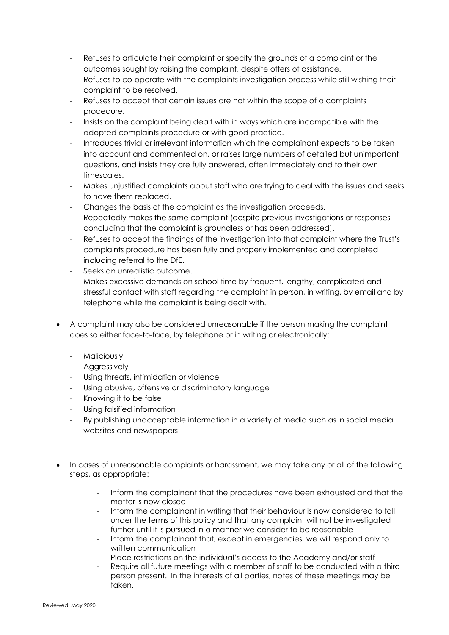- Refuses to articulate their complaint or specify the grounds of a complaint or the outcomes sought by raising the complaint, despite offers of assistance.
- Refuses to co-operate with the complaints investigation process while still wishing their complaint to be resolved.
- Refuses to accept that certain issues are not within the scope of a complaints procedure.
- Insists on the complaint being dealt with in ways which are incompatible with the adopted complaints procedure or with good practice.
- Introduces trivial or irrelevant information which the complainant expects to be taken into account and commented on, or raises large numbers of detailed but unimportant questions, and insists they are fully answered, often immediately and to their own timescales.
- Makes unjustified complaints about staff who are trying to deal with the issues and seeks to have them replaced.
- Changes the basis of the complaint as the investigation proceeds.
- Repeatedly makes the same complaint (despite previous investigations or responses concluding that the complaint is groundless or has been addressed).
- Refuses to accept the findings of the investigation into that complaint where the Trust's complaints procedure has been fully and properly implemented and completed including referral to the DfE.
- Seeks an unrealistic outcome.
- Makes excessive demands on school time by frequent, lengthy, complicated and stressful contact with staff regarding the complaint in person, in writing, by email and by telephone while the complaint is being dealt with.
- A complaint may also be considered unreasonable if the person making the complaint does so either face-to-face, by telephone or in writing or electronically:
	- **Maliciously**
	- Aggressively
	- Using threats, intimidation or violence
	- Using abusive, offensive or discriminatory language
	- Knowing it to be false
	- Using falsified information
	- By publishing unacceptable information in a variety of media such as in social media websites and newspapers
- In cases of unreasonable complaints or harassment, we may take any or all of the following steps, as appropriate:
	- Inform the complainant that the procedures have been exhausted and that the matter is now closed
	- Inform the complainant in writing that their behaviour is now considered to fall under the terms of this policy and that any complaint will not be investigated further until it is pursued in a manner we consider to be reasonable
	- Inform the complainant that, except in emergencies, we will respond only to written communication
	- Place restrictions on the individual's access to the Academy and/or staff
	- Require all future meetings with a member of staff to be conducted with a third person present. In the interests of all parties, notes of these meetings may be taken.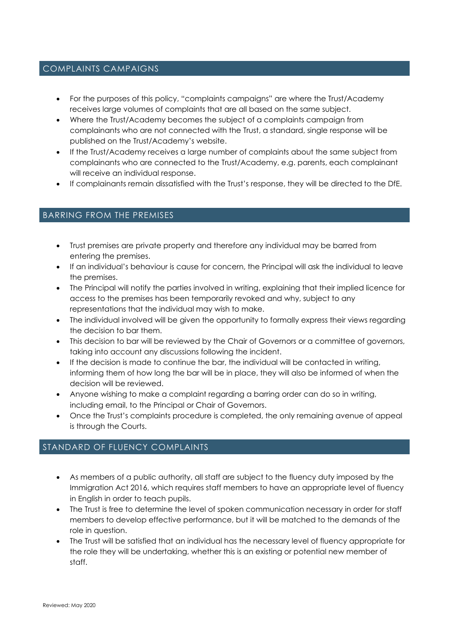#### COMPLAINTS CAMPAIGNS

- For the purposes of this policy, "complaints campaigns" are where the Trust/Academy receives large volumes of complaints that are all based on the same subject.
- Where the Trust/Academy becomes the subject of a complaints campaign from complainants who are not connected with the Trust, a standard, single response will be published on the Trust/Academy's website.
- If the Trust/Academy receives a large number of complaints about the same subject from complainants who are connected to the Trust/Academy, e.g. parents, each complainant will receive an individual response.
- If complainants remain dissatisfied with the Trust's response, they will be directed to the DfE.

#### BARRING FROM THE PREMISES

- Trust premises are private property and therefore any individual may be barred from entering the premises.
- If an individual's behaviour is cause for concern, the Principal will ask the individual to leave the premises.
- The Principal will notify the parties involved in writing, explaining that their implied licence for access to the premises has been temporarily revoked and why, subject to any representations that the individual may wish to make.
- The individual involved will be given the opportunity to formally express their views regarding the decision to bar them.
- This decision to bar will be reviewed by the Chair of Governors or a committee of governors, taking into account any discussions following the incident.
- If the decision is made to continue the bar, the individual will be contacted in writing, informing them of how long the bar will be in place, they will also be informed of when the decision will be reviewed.
- Anyone wishing to make a complaint regarding a barring order can do so in writing, including email, to the Principal or Chair of Governors.
- Once the Trust's complaints procedure is completed, the only remaining avenue of appeal is through the Courts.

# STANDARD OF FLUENCY COMPLAINTS

- As members of a public authority, all staff are subject to the fluency duty imposed by the Immigration Act 2016, which requires staff members to have an appropriate level of fluency in English in order to teach pupils.
- The Trust is free to determine the level of spoken communication necessary in order for staff members to develop effective performance, but it will be matched to the demands of the role in question.
- The Trust will be satisfied that an individual has the necessary level of fluency appropriate for the role they will be undertaking, whether this is an existing or potential new member of staff.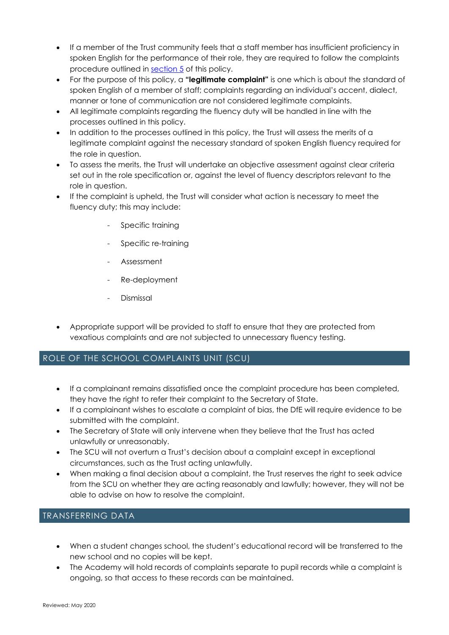- If a member of the Trust community feels that a staff member has insufficient proficiency in spoken English for the performance of their role, they are required to follow the complaints procedure outlined in [section 5](#page-6-0) of this policy.
- For the purpose of this policy, a **"legitimate complaint"** is one which is about the standard of spoken English of a member of staff; complaints regarding an individual's accent, dialect, manner or tone of communication are not considered legitimate complaints.
- All legitimate complaints regarding the fluency duty will be handled in line with the processes outlined in this policy.
- In addition to the processes outlined in this policy, the Trust will assess the merits of a legitimate complaint against the necessary standard of spoken English fluency required for the role in question.
- To assess the merits, the Trust will undertake an objective assessment against clear criteria set out in the role specification or, against the level of fluency descriptors relevant to the role in question.
- If the complaint is upheld, the Trust will consider what action is necessary to meet the fluency duty; this may include:
	- Specific training
	- Specific re-training
	- Assessment
	- Re-deployment
	- **Dismissal**
- Appropriate support will be provided to staff to ensure that they are protected from vexatious complaints and are not subjected to unnecessary fluency testing.

# ROLE OF THE SCHOOL COMPLAINTS UNIT (SCU)

- If a complainant remains dissatisfied once the complaint procedure has been completed, they have the right to refer their complaint to the Secretary of State.
- If a complainant wishes to escalate a complaint of bias, the DfE will require evidence to be submitted with the complaint.
- The Secretary of State will only intervene when they believe that the Trust has acted unlawfully or unreasonably.
- The SCU will not overturn a Trust's decision about a complaint except in exceptional circumstances, such as the Trust acting unlawfully.
- When making a final decision about a complaint, the Trust reserves the right to seek advice from the SCU on whether they are acting reasonably and lawfully; however, they will not be able to advise on how to resolve the complaint.

# TRANSFERRING DATA

- When a student changes school, the student's educational record will be transferred to the new school and no copies will be kept.
- The Academy will hold records of complaints separate to pupil records while a complaint is ongoing, so that access to these records can be maintained.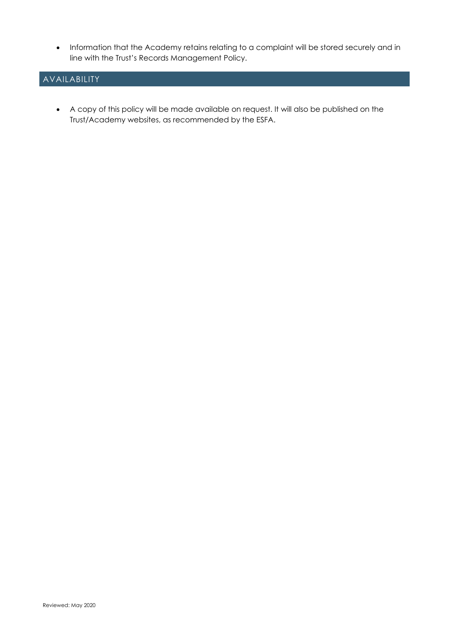Information that the Academy retains relating to a complaint will be stored securely and in line with the Trust's Records Management Policy.

# AVAILABILITY

 A copy of this policy will be made available on request. It will also be published on the Trust/Academy websites, as recommended by the ESFA.